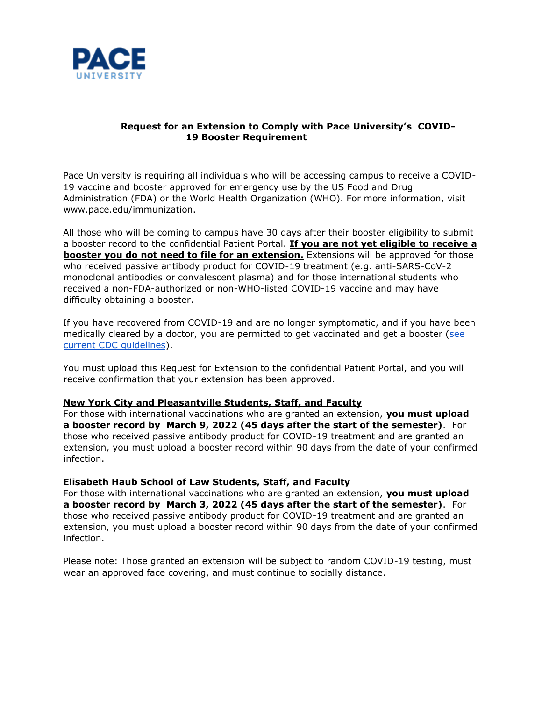

# **Request for an Extension to Comply with Pace University's COVID-19 Booster Requirement**

Pace University is requiring all individuals who will be accessing campus to receive a COVID-19 vaccine and booster approved for emergency use by the US Food and Drug Administration (FDA) or the World Health Organization (WHO). For more information, visit [www.pace.edu/immunization.](http://www.pace.edu/immunization)

All those who will be coming to campus have 30 days after their booster eligibility to submit a booster record to the confidential Patient Portal. **If you are not yet eligible to receive a booster you do not need to file for an extension.** Extensions will be approved for those who received passive antibody product for COVID-19 treatment (e.g. anti-SARS-CoV-2 monoclonal antibodies or convalescent plasma) and for those international students who received a non-FDA-authorized or non-WHO-listed COVID-19 vaccine and may have difficulty obtaining a booster.

If you have recovered from COVID-19 and are no longer symptomatic, and if you have been medically cleared by a doctor, you are permitted to get vaccinated and get a booster [\(see](https://www.cdc.gov/vaccines/covid-19/clinical-considerations/covid-19-vaccines-us.html#CoV-19-vaccination) [current CDC guidelines\).](https://www.cdc.gov/vaccines/covid-19/clinical-considerations/covid-19-vaccines-us.html#CoV-19-vaccination)

You must upload this Request for Extension to the confidential Patient Portal, and you will receive confirmation that your extension has been approved.

## **New York City and Pleasantville Students, Staff, and Faculty**

For those with international vaccinations who are granted an extension, **you must upload a booster record by March 9, 2022 (45 days after the start of the semester)**. For those who received passive antibody product for COVID-19 treatment and are granted an extension, you must upload a booster record within 90 days from the date of your confirmed infection.

## **Elisabeth Haub School of Law Students, Staff, and Faculty**

For those with international vaccinations who are granted an extension, **you must upload a booster record by March 3, 2022 (45 days after the start of the semester)**. For those who received passive antibody product for COVID-19 treatment and are granted an extension, you must upload a booster record within 90 days from the date of your confirmed infection.

Please note: Those granted an extension will be subject to random COVID-19 testing, must wear an approved face covering, and must continue to socially distance.